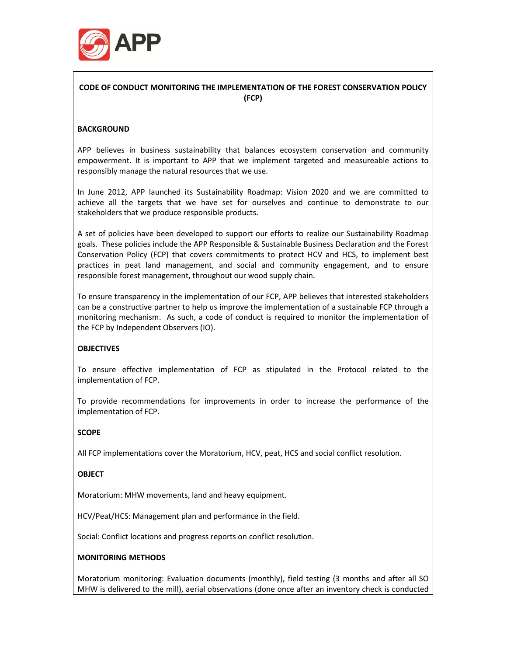

# CODE OF CONDUCT MONITORING THE IMPLEMENTATION OF THE FOREST CONSERVATION POLICY (FCP)

# **BACKGROUND**

APP believes in business sustainability that balances ecosystem conservation and community empowerment. It is important to APP that we implement targeted and measureable actions to responsibly manage the natural resources that we use.

In June 2012, APP launched its Sustainability Roadmap: Vision 2020 and we are committed to achieve all the targets that we have set for ourselves and continue to demonstrate to our stakeholders that we produce responsible products.

A set of policies have been developed to support our efforts to realize our Sustainability Roadmap goals. These policies include the APP Responsible & Sustainable Business Declaration and the Forest Conservation Policy (FCP) that covers commitments to protect HCV and HCS, to implement best practices in peat land management, and social and community engagement, and to ensure responsible forest management, throughout our wood supply chain.

To ensure transparency in the implementation of our FCP, APP believes that interested stakeholders can be a constructive partner to help us improve the implementation of a sustainable FCP through a monitoring mechanism. As such, a code of conduct is required to monitor the implementation of the FCP by Independent Observers (IO).

# **OBJECTIVES**

To ensure effective implementation of FCP as stipulated in the Protocol related to the implementation of FCP.

To provide recommendations for improvements in order to increase the performance of the implementation of FCP.

#### **SCOPE**

All FCP implementations cover the Moratorium, HCV, peat, HCS and social conflict resolution.

#### **OBJECT**

Moratorium: MHW movements, land and heavy equipment.

HCV/Peat/HCS: Management plan and performance in the field.

Social: Conflict locations and progress reports on conflict resolution.

#### MONITORING METHODS

Moratorium monitoring: Evaluation documents (monthly), field testing (3 months and after all SO MHW is delivered to the mill), aerial observations (done once after an inventory check is conducted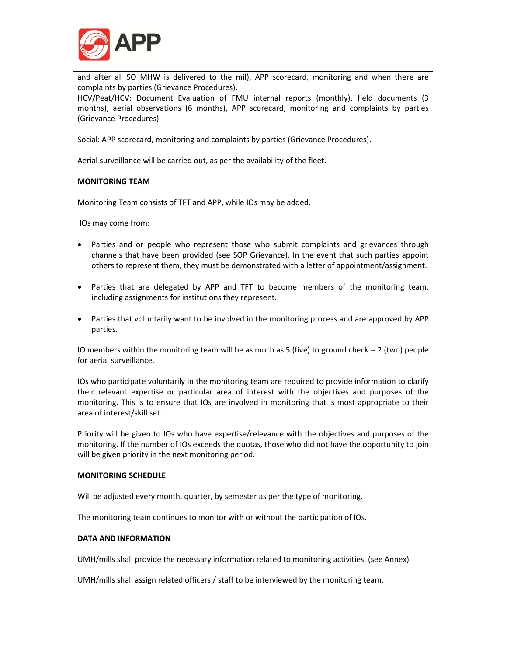

and after all SO MHW is delivered to the mil), APP scorecard, monitoring and when there are complaints by parties (Grievance Procedures).

HCV/Peat/HCV: Document Evaluation of FMU internal reports (monthly), field documents (3 months), aerial observations (6 months), APP scorecard, monitoring and complaints by parties (Grievance Procedures)

Social: APP scorecard, monitoring and complaints by parties (Grievance Procedures).

Aerial surveillance will be carried out, as per the availability of the fleet.

#### MONITORING TEAM

Monitoring Team consists of TFT and APP, while IOs may be added.

IOs may come from:

- Parties and or people who represent those who submit complaints and grievances through channels that have been provided (see SOP Grievance). In the event that such parties appoint others to represent them, they must be demonstrated with a letter of appointment/assignment.
- Parties that are delegated by APP and TFT to become members of the monitoring team, including assignments for institutions they represent.
- Parties that voluntarily want to be involved in the monitoring process and are approved by APP parties.

IO members within the monitoring team will be as much as 5 (five) to ground check -- 2 (two) people for aerial surveillance.

IOs who participate voluntarily in the monitoring team are required to provide information to clarify their relevant expertise or particular area of interest with the objectives and purposes of the monitoring. This is to ensure that IOs are involved in monitoring that is most appropriate to their area of interest/skill set.

Priority will be given to IOs who have expertise/relevance with the objectives and purposes of the monitoring. If the number of IOs exceeds the quotas, those who did not have the opportunity to join will be given priority in the next monitoring period.

#### MONITORING SCHEDULE

Will be adjusted every month, quarter, by semester as per the type of monitoring.

The monitoring team continues to monitor with or without the participation of IOs.

#### DATA AND INFORMATION

UMH/mills shall provide the necessary information related to monitoring activities. (see Annex)

UMH/mills shall assign related officers / staff to be interviewed by the monitoring team.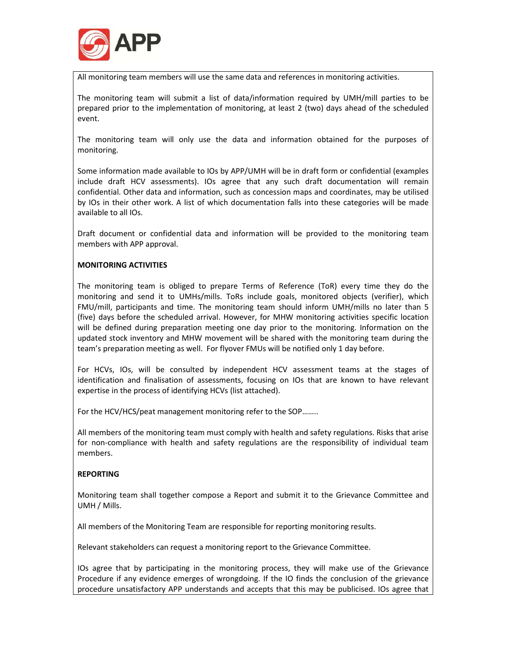

All monitoring team members will use the same data and references in monitoring activities.

The monitoring team will submit a list of data/information required by UMH/mill parties to be prepared prior to the implementation of monitoring, at least 2 (two) days ahead of the scheduled event.

The monitoring team will only use the data and information obtained for the purposes of monitoring.

Some information made available to IOs by APP/UMH will be in draft form or confidential (examples include draft HCV assessments). IOs agree that any such draft documentation will remain confidential. Other data and information, such as concession maps and coordinates, may be utilised by IOs in their other work. A list of which documentation falls into these categories will be made available to all IOs.

Draft document or confidential data and information will be provided to the monitoring team members with APP approval.

#### MONITORING ACTIVITIES

The monitoring team is obliged to prepare Terms of Reference (ToR) every time they do the monitoring and send it to UMHs/mills. ToRs include goals, monitored objects (verifier), which FMU/mill, participants and time. The monitoring team should inform UMH/mills no later than 5 (five) days before the scheduled arrival. However, for MHW monitoring activities specific location will be defined during preparation meeting one day prior to the monitoring. Information on the updated stock inventory and MHW movement will be shared with the monitoring team during the team's preparation meeting as well. For flyover FMUs will be notified only 1 day before.

For HCVs, IOs, will be consulted by independent HCV assessment teams at the stages of identification and finalisation of assessments, focusing on IOs that are known to have relevant expertise in the process of identifying HCVs (list attached).

For the HCV/HCS/peat management monitoring refer to the SOP……..

All members of the monitoring team must comply with health and safety regulations. Risks that arise for non-compliance with health and safety regulations are the responsibility of individual team members.

# **REPORTING**

Monitoring team shall together compose a Report and submit it to the Grievance Committee and UMH / Mills.

All members of the Monitoring Team are responsible for reporting monitoring results.

Relevant stakeholders can request a monitoring report to the Grievance Committee.

IOs agree that by participating in the monitoring process, they will make use of the Grievance Procedure if any evidence emerges of wrongdoing. If the IO finds the conclusion of the grievance procedure unsatisfactory APP understands and accepts that this may be publicised. IOs agree that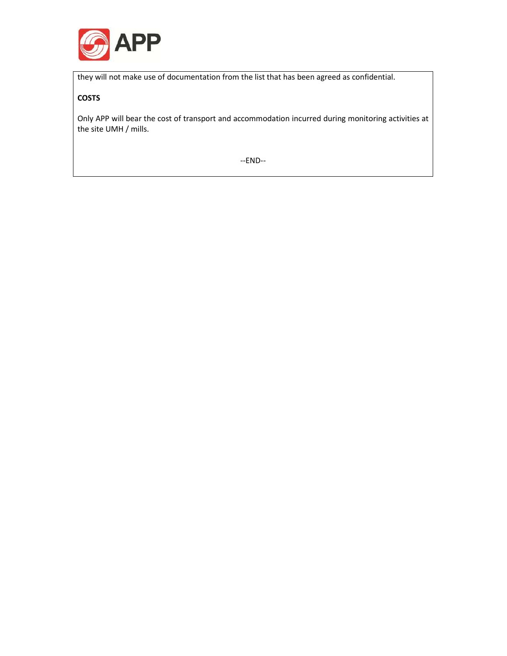

they will not make use of documentation from the list that has been agreed as confidential.

# **COSTS**

Only APP will bear the cost of transport and accommodation incurred during monitoring activities at the site UMH / mills.

--END--